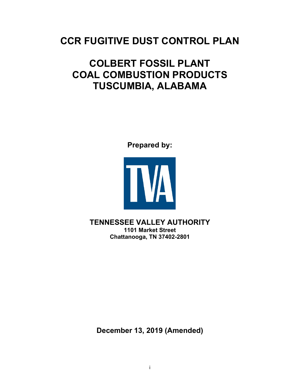# **CCR FUGITIVE DUST CONTROL PLAN**

# **COLBERT FOSSIL PLANT COAL COMBUSTION PRODUCTS TUSCUMBIA, ALABAMA**

**Prepared by:**



**TENNESSEE VALLEY AUTHORITY 1101 Market Street Chattanooga, TN 37402-2801**

**December 13, 2019 (Amended)**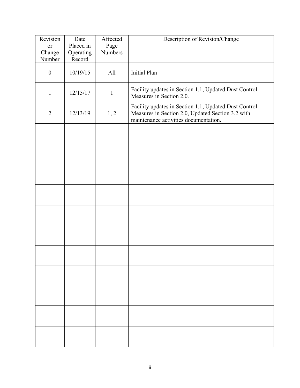| Revision<br>or<br>Change<br>Number | Date<br>Placed in<br>Operating<br>Record | Affected<br>Page<br><b>Numbers</b> | Description of Revision/Change                                                                                                                      |
|------------------------------------|------------------------------------------|------------------------------------|-----------------------------------------------------------------------------------------------------------------------------------------------------|
| $\boldsymbol{0}$                   | 10/19/15                                 | All                                | <b>Initial Plan</b>                                                                                                                                 |
| $\mathbf{1}$                       | 12/15/17                                 | $\mathbf{1}$                       | Facility updates in Section 1.1, Updated Dust Control<br>Measures in Section 2.0.                                                                   |
| $\overline{2}$                     | 12/13/19                                 | 1, 2                               | Facility updates in Section 1.1, Updated Dust Control<br>Measures in Section 2.0, Updated Section 3.2 with<br>maintenance activities documentation. |
|                                    |                                          |                                    |                                                                                                                                                     |
|                                    |                                          |                                    |                                                                                                                                                     |
|                                    |                                          |                                    |                                                                                                                                                     |
|                                    |                                          |                                    |                                                                                                                                                     |
|                                    |                                          |                                    |                                                                                                                                                     |
|                                    |                                          |                                    |                                                                                                                                                     |
|                                    |                                          |                                    |                                                                                                                                                     |
|                                    |                                          |                                    |                                                                                                                                                     |
|                                    |                                          |                                    |                                                                                                                                                     |
|                                    |                                          |                                    |                                                                                                                                                     |
|                                    |                                          |                                    |                                                                                                                                                     |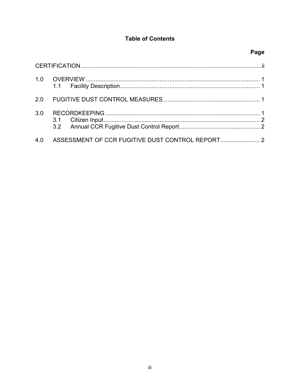# **Table of Contents**

# Page

| 2.0 |  |
|-----|--|
| 3.0 |  |
| 4.0 |  |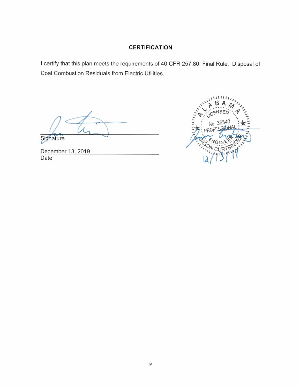#### **CERTIFICATION**

I certify that this plan meets the requirements of 40 CFR 257.80, Final Rule: Disposal of Coal Combustion Residuals from Electric Utilities.

Signature

December 13, 2019 Date

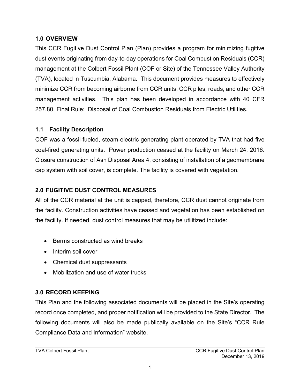#### <span id="page-4-0"></span>**1.0 OVERVIEW**

This CCR Fugitive Dust Control Plan (Plan) provides a program for minimizing fugitive dust events originating from day-to-day operations for Coal Combustion Residuals (CCR) management at the Colbert Fossil Plant (COF or Site) of the Tennessee Valley Authority (TVA), located in Tuscumbia, Alabama. This document provides measures to effectively minimize CCR from becoming airborne from CCR units, CCR piles, roads, and other CCR management activities. This plan has been developed in accordance with 40 CFR 257.80, Final Rule: Disposal of Coal Combustion Residuals from Electric Utilities.

#### <span id="page-4-1"></span>**1.1 Facility Description**

COF was a fossil-fueled, steam-electric generating plant operated by TVA that had five coal-fired generating units. Power production ceased at the facility on March 24, 2016. Closure construction of Ash Disposal Area 4, consisting of installation of a geomembrane cap system with soil cover, is complete. The facility is covered with vegetation.

## **2.0 FUGITIVE DUST CONTROL MEASURES**

All of the CCR material at the unit is capped, therefore, CCR dust cannot originate from the facility. Construction activities have ceased and vegetation has been established on the facility. If needed, dust control measures that may be utilitized include:

- Berms constructed as wind breaks
- Interim soil cover
- Chemical dust suppressants
- Mobilization and use of water trucks

## **3.0 RECORD KEEPING**

This Plan and the following associated documents will be placed in the Site's operating record once completed, and proper notification will be provided to the State Director. The following documents will also be made publically available on the Site's "CCR Rule Compliance Data and Information" website.